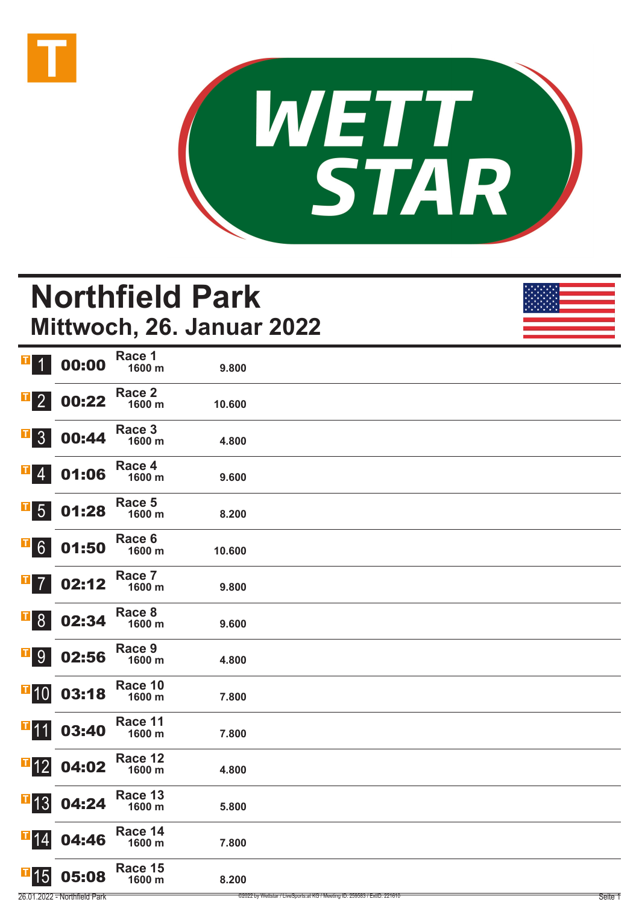



# **Northfield Park Mittwoch, 26. Januar 2022**

| $\mathbf{T}$<br>$\overline{\mathcal{L}}$ | 00:00 | Race 1<br>1600 m            | 9.800  |  |
|------------------------------------------|-------|-----------------------------|--------|--|
| $\mathbf{T}$<br>$\overline{2}$           | 00:22 | Race <sub>2</sub><br>1600 m | 10.600 |  |
| $\overline{\phantom{0}}$ 3               | 00:44 | Race 3<br>1600 m            | 4.800  |  |
| $\mathsf T$<br>$\overline{4}$            | 01:06 | Race 4<br>1600 m            | 9.600  |  |
| $\mathbf{T}$<br>$5\overline{)}$          | 01:28 | Race 5<br>1600 m            | 8.200  |  |
| T<br>$6\overline{6}$                     | 01:50 | Race 6<br>1600 m            | 10.600 |  |
| $\mathbf{T}$<br>$\overline{7}$           | 02:12 | Race 7<br>1600 m            | 9.800  |  |
| $\mathsf{T}$<br>8 <sup>°</sup>           | 02:34 | Race 8<br>1600 m            | 9.600  |  |
| $\mathbf T$<br>9                         | 02:56 | Race 9<br>1600 m            | 4.800  |  |
| $\mathbf{F}$ 10                          | 03:18 | Race 10<br>1600 m           | 7.800  |  |
| $\mathbf{I}$ 11                          | 03:40 | Race 11<br>1600 m           | 7.800  |  |
| $\mathbf{I}$ 12                          | 04:02 | Race 12<br>1600 m           | 4.800  |  |
| $\overline{1}$ 13                        | 04:24 | Race 13<br>1600 m           | 5.800  |  |
| $\mathbf{F}$ 14                          | 04:46 | Race 14<br>1600 m           | 7.800  |  |
| T<br>15                                  | 05:08 | Race 15<br>1600 m           | 8.200  |  |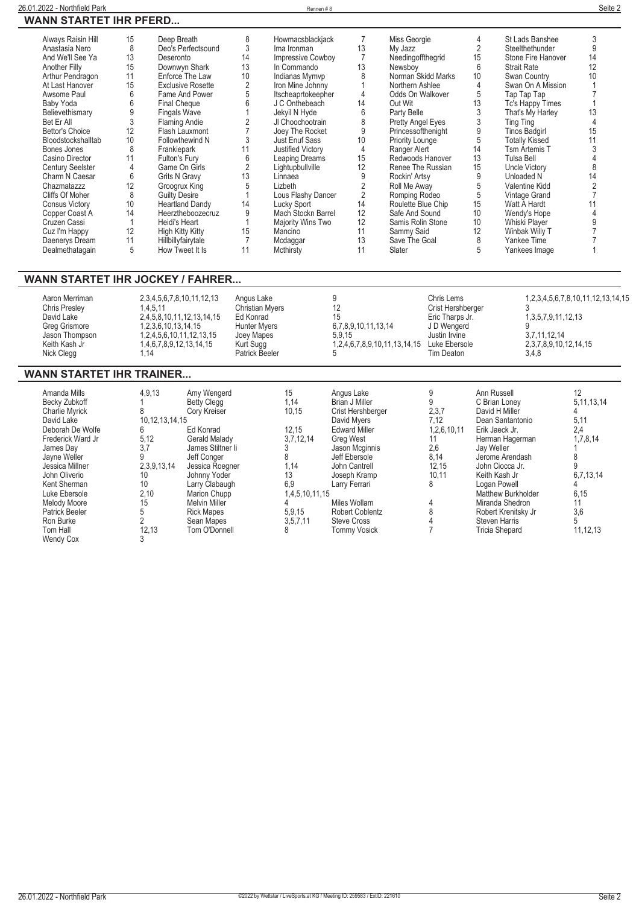#### **26.01.2022 - Northfield Park** Rennen # 8 **Seite 2 WANN STARTET IHR PFERD...**

| Always Raisin Hill      | 15 | Deep Breath              |    | Howmacsblackjack         |                | Miss Georgie       | 4  | St Lads Banshee       | 3  |
|-------------------------|----|--------------------------|----|--------------------------|----------------|--------------------|----|-----------------------|----|
| Anastasia Nero          | 8  | Deo's Perfectsound       |    | Ima Ironman              | 13             | My Jazz            |    | Steelthethunder       |    |
| And We'll See Ya        | 13 | Deseronto                | 14 | <b>Impressive Cowboy</b> |                | Needingoffthegrid  | 15 | Stone Fire Hanover    | 14 |
| Another Filly           | 15 | Downwyn Shark            | 13 | In Commando              | 13             | Newsboy            | 6  | <b>Strait Rate</b>    | 12 |
| Arthur Pendragon        | 11 | Enforce The Law          | 10 | Indianas Mymvp           |                | Norman Skidd Marks | 10 | Swan Country          | 10 |
| At Last Hanover         | 15 | <b>Exclusive Rosette</b> |    | Iron Mine Johnny         |                | Northern Ashlee    |    | Swan On A Mission     |    |
| Awsome Paul             | 6  | Fame And Power           |    | Itscheaprtokeepher       |                | Odds On Walkover   | 5  | Tap Tap Tap           |    |
| Baby Yoda               | 6  | <b>Final Cheque</b>      |    | J C Onthebeach           | 14             | Out Wit            | 13 | Tc's Happy Times      |    |
| Believethismary         |    | <b>Fingals Wave</b>      |    | Jekyil N Hyde            | 6              | Party Belle        |    | That's My Harley      | 13 |
| Bet Er All              |    | Flaming Andie            |    | JI Choochootrain         | 8              | Pretty Angel Eyes  |    | Ting Ting             |    |
| Bettor's Choice         | 12 | Flash Lauxmont           |    | Joey The Rocket          | 9              | Princessofthenight | 9  | <b>Tinos Badgirl</b>  | 15 |
| Bloodstockshalltab      | 10 | Followthewind N          |    | Just Enuf Sass           | 10             | Priority Lounge    | 5  | <b>Totally Kissed</b> |    |
| Bones Jones             | 8  | Frankiepark              |    | Justified Victory        | 4              | Ranger Alert       | 14 | Tsm Artemis T         |    |
| Casino Director         |    | Fulton's Fury            |    | Leaping Dreams           | 15             | Redwoods Hanover   | 13 | Tulsa Bell            |    |
| <b>Century Seelster</b> | 4  | Game On Girls            |    | Lightupbullville         | 12             | Renee The Russian  | 15 | <b>Uncle Victory</b>  |    |
| Charm N Caesar          | 6  | <b>Grits N Gravy</b>     | 13 | Linnaea                  | 9              | Rockin' Artsy      | 9  | Unloaded N            | 14 |
| Chazmatazzz             | 12 | Groogrux King            |    | Lizbeth                  |                | Roll Me Away       |    | Valentine Kidd        |    |
| Cliffs Of Moher         | 8  | <b>Guilty Desire</b>     |    | Lous Flashy Dancer       | $\overline{2}$ | Romping Rodeo      | 5  | Vintage Grand         |    |
| <b>Consus Victory</b>   | 10 | <b>Heartland Dandy</b>   | 14 | Lucky Sport              | 14             | Roulette Blue Chip | 15 | Watt A Hardt          |    |
| Copper Coast A          | 14 | Heerztheboozecruz        |    | Mach Stockn Barrel       | 12             | Safe And Sound     | 10 | Wendy's Hope          |    |
| Cruzen Cassi            |    | Heidi's Heart            |    | Majority Wins Two        | 12             | Samis Rolin Stone  | 10 | Whiski Player         |    |
| Cuz I'm Happy           | 12 | High Kitty Kitty         | 15 | Mancino                  | 11             | Sammy Said         | 12 | Winbak Willy T        |    |
| Daenerys Dream          | 11 | Hillbillyfairytale       |    | Mcdaggar                 | 13             | Save The Goal      | 8  | Yankee Time           |    |
| Dealmethatagain         | 5  | How Tweet It Is          |    | Mcthirsty                | 11             | Slater             |    | Yankees Image         |    |

#### **WANN STARTET IHR JOCKEY / FAHRER...**

| Aaron Merriman<br>Chris Presley<br>David Lake<br>Greg Grismore<br>Jason Thompson<br>Keith Kash Jr<br>Nick Clegg | 2,3,4,5,6,7,8,10,11,12,13<br>1.4.5.11<br>2,4,5,8,10,11,12,13,14.15<br>1, 2, 3, 6, 10, 13, 14, 15<br>1, 2, 4, 5, 6, 10, 11, 12, 13, 15<br>1,4,6,7,8,9,12,13,14,15<br>1.14 | Angus Lake<br><b>Christian Myers</b><br>Ed Konrad<br>Hunter Myers<br>Joey Mapes<br>Kurt Sugg<br>Patrick Beeler | Ω<br>15<br>6,7,8,9,10,11,13,14<br>5.9.15<br>1,2,4,6,7,8,9,10,11,13,14,15 Luke Ebersole | Chris Lems<br>Crist Hershberger<br>Eric Tharps Jr.<br>J D Wengerd<br>Justin Irvine<br>Tim Deaton | 1,2,3,4,5,6,7,8,10,11,12,13,14,15<br>1, 3, 5, 7, 9, 11, 12, 13<br>3.7.11.12.14<br>2,3,7,8,9,10,12,14,15<br>3,4,8 |
|-----------------------------------------------------------------------------------------------------------------|--------------------------------------------------------------------------------------------------------------------------------------------------------------------------|----------------------------------------------------------------------------------------------------------------|----------------------------------------------------------------------------------------|--------------------------------------------------------------------------------------------------|------------------------------------------------------------------------------------------------------------------|
|-----------------------------------------------------------------------------------------------------------------|--------------------------------------------------------------------------------------------------------------------------------------------------------------------------|----------------------------------------------------------------------------------------------------------------|----------------------------------------------------------------------------------------|--------------------------------------------------------------------------------------------------|------------------------------------------------------------------------------------------------------------------|

#### **WANN STARTET IHR TRAINER...**

| Amanda Mills<br><b>Becky Zubkoff</b><br><b>Charlie Myrick</b><br>David Lake<br>Deborah De Wolfe<br>Frederick Ward Jr<br>James Dav<br>Jayne Weller<br>Jessica Millner<br>John Oliverio<br>Kent Sherman<br>Luke Ebersole<br>Melody Moore<br><b>Patrick Beeler</b><br>Ron Burke<br>Tom Hall<br><b>Wendy Cox</b> | 4,9,13<br>10, 12, 13, 14, 15<br>რ<br>5,12<br>3.7<br>2.3.9.13.14<br>10<br>10<br>2,10<br>15<br>5<br>12,13 | Amy Wengerd<br><b>Betty Clegg</b><br>Cory Kreiser<br>Ed Konrad<br>Gerald Malady<br>James Stiltner Ii<br>Jeff Conger<br>Jessica Roegner<br>Johnny Yoder<br>Larry Clabaugh<br>Marion Chupp<br><b>Melvin Miller</b><br><b>Rick Mapes</b><br>Sean Mapes<br>Tom O'Donnell | 15<br>1,14<br>10,15<br>12.15<br>3,7,12,14<br>8<br>1.14<br>13<br>6,9<br>1,4,5,10,11,15<br>5,9,15<br>3,5,7,11<br>8 | Angus Lake<br>Brian J Miller<br>Crist Hershberger<br>David Mvers<br><b>Edward Miller</b><br><b>Grea West</b><br>Jason Mcginnis<br>Jeff Ebersole<br>John Cantrell<br>Joseph Kramp<br>Larry Ferrari<br>Miles Wollam<br><b>Robert Coblentz</b><br><b>Steve Cross</b><br><b>Tommy Vosick</b> | 2,3,7<br>7.12<br>1,2,6,10,11<br>2,6<br>8,14<br>12,15<br>10,11 | Ann Russell<br>C Brian Lonev<br>David H Miller<br>Dean Santantonio<br>Erik Jaeck Jr.<br>Herman Hagerman<br>Jay Weller<br>Jerome Arendash<br>John Ciocca Jr.<br>Keith Kash Jr<br>Logan Powell<br><b>Matthew Burkholder</b><br>Miranda Shedron<br>Robert Krenitsky Jr<br><b>Steven Harris</b><br>Tricia Shepard | 12<br>5, 11, 13, 14<br>5,11<br>2.4<br>1,7,8,14<br>6,7,13,14<br>6,15<br>11<br>3,6<br>5<br>11,12,13 |
|--------------------------------------------------------------------------------------------------------------------------------------------------------------------------------------------------------------------------------------------------------------------------------------------------------------|---------------------------------------------------------------------------------------------------------|----------------------------------------------------------------------------------------------------------------------------------------------------------------------------------------------------------------------------------------------------------------------|------------------------------------------------------------------------------------------------------------------|------------------------------------------------------------------------------------------------------------------------------------------------------------------------------------------------------------------------------------------------------------------------------------------|---------------------------------------------------------------|---------------------------------------------------------------------------------------------------------------------------------------------------------------------------------------------------------------------------------------------------------------------------------------------------------------|---------------------------------------------------------------------------------------------------|
|--------------------------------------------------------------------------------------------------------------------------------------------------------------------------------------------------------------------------------------------------------------------------------------------------------------|---------------------------------------------------------------------------------------------------------|----------------------------------------------------------------------------------------------------------------------------------------------------------------------------------------------------------------------------------------------------------------------|------------------------------------------------------------------------------------------------------------------|------------------------------------------------------------------------------------------------------------------------------------------------------------------------------------------------------------------------------------------------------------------------------------------|---------------------------------------------------------------|---------------------------------------------------------------------------------------------------------------------------------------------------------------------------------------------------------------------------------------------------------------------------------------------------------------|---------------------------------------------------------------------------------------------------|

 $\overline{\phantom{0}}$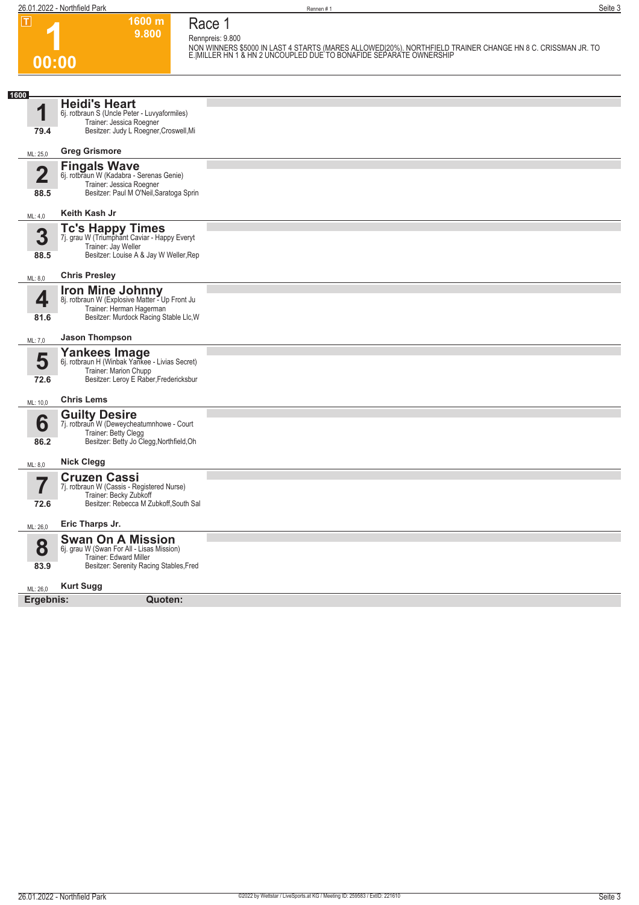**00:00**

**Race 1**

**1600 m 9.800** 

**Rennpreis: 9.800**

**NON WINNERS \$5000 IN LAST 4 STARTS (MARES ALLOWED|20%). NORTHFIELD TRAINER CHANGE HN 8 C. CRISSMAN JR. TO E.|MILLER HN 1 & HN 2 UNCOUPLED DUE TO BONAFIDE SEPARATE OWNERSHIP** 

| 1600<br>И<br>79.4     | <b>Heidi's Heart</b><br>6j. rotbraun S (Uncle Peter - Luvyaformiles)<br>Trainer: Jessica Roegner<br>Besitzer: Judy L Roegner, Croswell, Mi      |  |
|-----------------------|-------------------------------------------------------------------------------------------------------------------------------------------------|--|
| ML: 25,0              | <b>Greg Grismore</b>                                                                                                                            |  |
| 2<br>88.5             | <b>Fingals Wave</b><br>6j. rotbraun W (Kadabra - Serenas Genie)<br>Trainer: Jessica Roegner<br>Besitzer: Paul M O'Neil, Saratoga Sprin          |  |
| ML: 4,0               | Keith Kash Jr                                                                                                                                   |  |
| 3<br>88.5             | <b>Tc's Happy Times</b><br>7j. grau W (Triumphant Caviar - Happy Everyt<br>Trainer: Jay Weller<br>Besitzer: Louise A & Jay W Weller, Rep        |  |
| ML: 8,0               | <b>Chris Presley</b>                                                                                                                            |  |
| 4<br>81.6             | <b>Iron Mine Johnny</b><br>8j. rotbraun W (Explosive Matter - Up Front Ju<br>Trainer: Herman Hagerman<br>Besitzer: Murdock Racing Stable Llc, W |  |
| ML: 7,0               | <b>Jason Thompson</b>                                                                                                                           |  |
| 5<br>72.6             | <b>Yankees Image</b><br>6j. rotbraun H (Winbak Yankee - Livias Secret)<br>Trainer: Marion Chupp<br>Besitzer: Leroy E Raber, Fredericksbur       |  |
| ML: 10,0              | <b>Chris Lems</b>                                                                                                                               |  |
| 6<br>86.2             | <b>Guilty Desire</b><br>7j. rotbraun W (Deweycheatumnhowe - Court<br>Trainer: Betty Clegg<br>Besitzer: Betty Jo Clegg, Northfield, Oh           |  |
| ML: 8,0               | <b>Nick Clegg</b>                                                                                                                               |  |
| I<br>72.6             | <b>Cruzen Cassi</b><br>7j. rotbraun W (Cassis - Registered Nurse)<br>Trainer: Becky Zubkoff<br>Besitzer: Rebecca M Zubkoff, South Sal           |  |
|                       | Eric Tharps Jr.                                                                                                                                 |  |
| ML: 26,0<br>8<br>83.9 | <b>Swan On A Mission</b><br>6j. grau W (Swan For All - Lisas Mission)<br>Trainer: Edward Miller<br>Besitzer: Serenity Racing Stables, Fred      |  |
| ML: 26,0              | <b>Kurt Sugg</b>                                                                                                                                |  |
| Ergebnis:             | Quoten:                                                                                                                                         |  |
|                       |                                                                                                                                                 |  |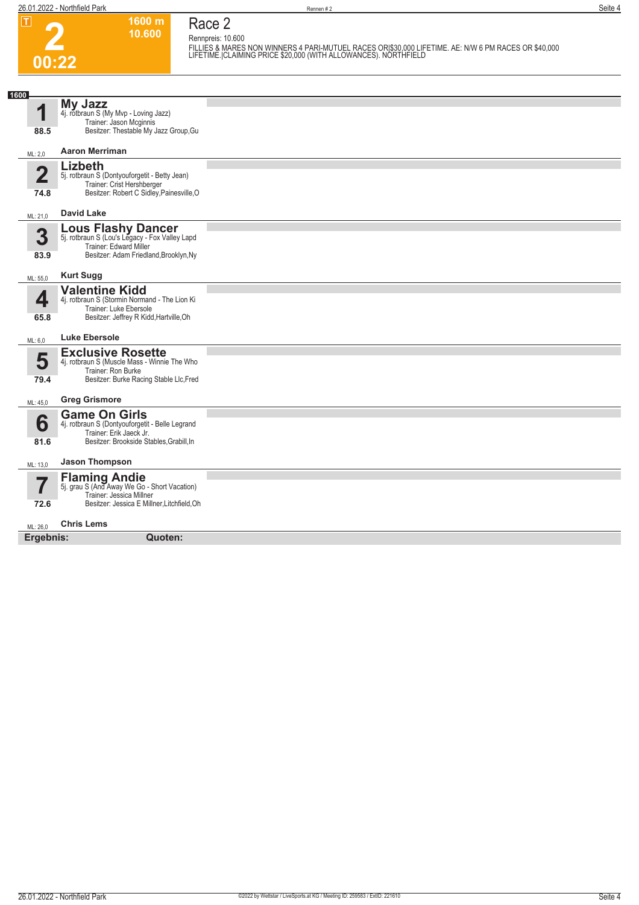### **2 00:22**

**Race 2 Rennpreis: 10.600**

**1600 m 10.600** 

**FILLIES & MARES NON WINNERS 4 PARI-MUTUEL RACES OR|\$30,000 LIFETIME. AE: N/W 6 PM RACES OR \$40,000 LIFETIME.|CLAIMING PRICE \$20,000 (WITH ALLOWANCES). NORTHFIELD** 

| 1600           |                                                                             |  |
|----------------|-----------------------------------------------------------------------------|--|
| 4              | <b>My Jazz</b>                                                              |  |
|                | 4j. rotbraun S (My Mvp - Loving Jazz)<br>Trainer: Jason Mcginnis            |  |
| 88.5           | Besitzer: Thestable My Jazz Group, Gu                                       |  |
| ML: 2.0        | <b>Aaron Merriman</b>                                                       |  |
|                | Lizbeth                                                                     |  |
| $\overline{2}$ | 5j. rotbraun S (Dontyouforgetit - Betty Jean)<br>Trainer: Crist Hershberger |  |
| 74.8           | Besitzer: Robert C Sidley, Painesville, O                                   |  |
| ML: 21,0       | <b>David Lake</b>                                                           |  |
|                | <b>Lous Flashy Dancer</b><br>5j. rotbraun S (Lou's Legacy - Fox Valley Lapd |  |
| 3              | Trainer: Edward Miller                                                      |  |
| 83.9           | Besitzer: Adam Friedland, Brooklyn, Ny                                      |  |
|                |                                                                             |  |
| ML: 55,0       | <b>Kurt Sugg</b>                                                            |  |
|                | <b>Valentine Kidd</b>                                                       |  |
| 4              | 4j. rotbraun S (Stormin Normand - The Lion Ki<br>Trainer: Luke Ebersole     |  |
| 65.8           | Besitzer: Jeffrey R Kidd, Hartville, Oh                                     |  |
|                |                                                                             |  |
| ML: 6,0        | <b>Luke Ebersole</b>                                                        |  |
| 5              | <b>Exclusive Rosette</b><br>4j. rotbraun S (Muscle Mass - Winnie The Who    |  |
|                | Trainer: Ron Burke                                                          |  |
| 79.4           | Besitzer: Burke Racing Stable Llc, Fred                                     |  |
| ML: 45,0       | <b>Greg Grismore</b>                                                        |  |
|                |                                                                             |  |
| 6              | <b>Game On Girls</b><br>4j. rotbraun S (Dontyouforgetit - Belle Legrand     |  |
|                | Trainer: Erik Jaeck Jr.<br>Besitzer: Brookside Stables, Grabill, In         |  |
| 81.6           |                                                                             |  |
| ML: 13,0       | <b>Jason Thompson</b>                                                       |  |
|                | <b>Flaming Andie</b><br>5j. grau S (And Away We Go - Short Vacation)        |  |
| 7              | Trainer: Jessica Millner                                                    |  |
| 72.6           | Besitzer: Jessica E Millner, Litchfield, Oh                                 |  |
| ML: 26.0       | <b>Chris Lems</b>                                                           |  |
| Ergebnis:      | Quoten:                                                                     |  |
|                |                                                                             |  |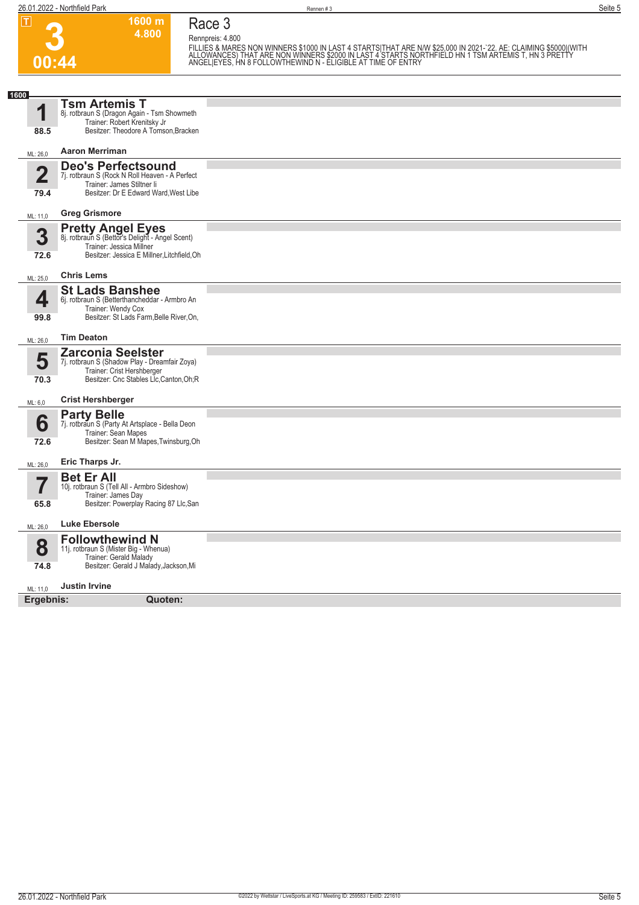

**Race 3 Rennpreis: 4.800**

**1600 m 4.800** 

FILLIES & MARES NON WINNERS \$1000 IN LAST 4 STARTSITHAT ARE N/W \$25,000 IN 2021-`22. AE: CLAIMING \$5000|(WITH<br>ALLOWANCES) THAT ARE NON WINNERS \$2000 IN LAST 4 STARTS NORTHFIELD HN 1 TSM ARTEMIS T, HN 3 PRETTY<br>ANGEL|EYES, H

| 1600                   |                                                                                                                                                        |  |
|------------------------|--------------------------------------------------------------------------------------------------------------------------------------------------------|--|
| и<br>88.5              | <b>Tsm Artemis T</b><br>8j. rotbraun S (Dragon Again - Tsm Showmeth<br>Trainer: Robert Krenitsky Jr<br>Besitzer: Theodore A Tomson, Bracken            |  |
| ML: 26,0               | <b>Aaron Merriman</b>                                                                                                                                  |  |
| $\overline{2}$<br>79.4 | <b>Deo's Perfectsound</b><br>7j. rotbraun S (Rock N Roll Heaven - A Perfect<br>Trainer: James Stiltner li<br>Besitzer: Dr E Edward Ward, West Libe     |  |
|                        |                                                                                                                                                        |  |
| ML: 11,0               | <b>Greg Grismore</b>                                                                                                                                   |  |
| 3<br>72.6              | <b>Pretty Angel Eyes</b><br>8j. rotbraun S (Bettor's Delight - Angel Scent)<br>Trainer: Jessica Millner<br>Besitzer: Jessica E Millner, Litchfield, Oh |  |
| ML: 25,0               | <b>Chris Lems</b>                                                                                                                                      |  |
| 4<br>99.8              | <b>St Lads Banshee</b><br>6j. rotbraun S (Betterthancheddar - Armbro An<br>Trainer: Wendy Cox<br>Besitzer: St Lads Farm, Belle River, On,              |  |
| ML: 26,0               | <b>Tim Deaton</b>                                                                                                                                      |  |
| 5<br>70.3              | <b>Zarconia Seelster</b><br>7j. rotbraun S (Shadow Play - Dreamfair Zoya)<br>Trainer: Crist Hershberger<br>Besitzer: Cnc Stables Lic, Canton, Oh; R    |  |
| ML: 6,0                | <b>Crist Hershberger</b>                                                                                                                               |  |
| 6<br>72.6              | <b>Party Belle</b><br>7j. rotbraun S (Party At Artsplace - Bella Deon<br>Trainer: Sean Mapes<br>Besitzer: Sean M Mapes, Twinsburg, Oh                  |  |
| ML: 26,0               | Eric Tharps Jr.                                                                                                                                        |  |
| 65.8                   | <b>Bet Er All</b><br>10j. rotbraun S (Tell All - Armbro Sideshow)<br>Trainer: James Day<br>Besitzer: Powerplay Racing 87 Llc, San                      |  |
| ML: 26,0               | <b>Luke Ebersole</b>                                                                                                                                   |  |
| 8<br>74.8              | <b>Followthewind N</b><br>11j. rotbraun S (Mister Big - Whenua)<br>Trainer: Gerald Malady<br>Besitzer: Gerald J Malady, Jackson, Mi                    |  |
| ML: 11,0               | <b>Justin Irvine</b>                                                                                                                                   |  |
| Ergebnis:              | Quoten:                                                                                                                                                |  |
|                        |                                                                                                                                                        |  |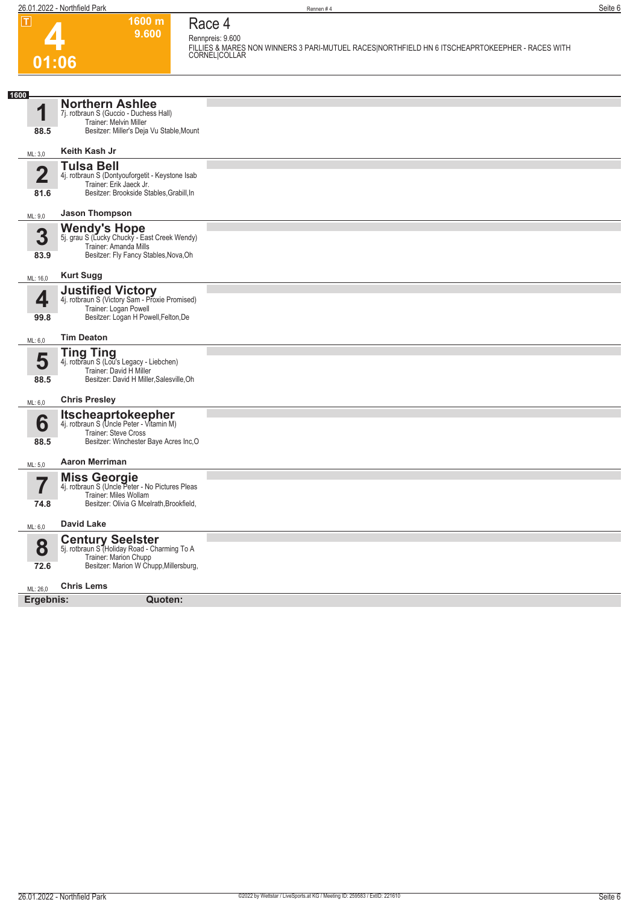

#### **Race 4 Rennpreis: 9.600**

**1600 m 9.600** 

**FILLIES & MARES NON WINNERS 3 PARI-MUTUEL RACES|NORTHFIELD HN 6 ITSCHEAPRTOKEEPHER - RACES WITH CORNEL|COLLAR** 

| 1600                            |                                                                                                                                                        |  |
|---------------------------------|--------------------------------------------------------------------------------------------------------------------------------------------------------|--|
| 1<br>88.5                       | <b>Northern Ashlee</b><br>7j. rotbraun S (Guccio - Duchess Hall)<br>Trainer: Melvin Miller<br>Besitzer: Miller's Deja Vu Stable, Mount                 |  |
| ML: 3,0                         | Keith Kash Jr                                                                                                                                          |  |
| $\overline{\mathbf{2}}$<br>81.6 | <b>Tulsa Bell</b><br>4j. rotbraun S (Dontyouforgetit - Keystone Isab<br>Trainer: Erik Jaeck Jr.<br>Besitzer: Brookside Stables, Grabill, In            |  |
| ML: 9,0                         | <b>Jason Thompson</b>                                                                                                                                  |  |
| 3<br>83.9                       | Wendy's Hope<br>5j. grau S (Lucky Chucky - East Creek Wendy)<br>Trainer: Amanda Mills<br>Besitzer: Fly Fancy Stables, Nova, Oh                         |  |
| ML: 16,0                        | <b>Kurt Sugg</b>                                                                                                                                       |  |
| 4<br>99.8                       | Justified Victory<br>4j. rotbraun S (Victory Sam - Proxie Promised)<br>Trainer: Logan Powell<br>Besitzer: Logan H Powell, Felton, De                   |  |
| ML: 6,0                         | <b>Tim Deaton</b>                                                                                                                                      |  |
| 5<br>88.5                       | <b>Ting Ting</b><br>4j. rotbraun S (Lou's Legacy - Liebchen)<br>Trainer: David H Miller<br>Besitzer: David H Miller, Salesville, Oh                    |  |
| ML: 6,0                         | <b>Chris Presley</b>                                                                                                                                   |  |
| 6<br>88.5                       | <b>Itscheaprtokeepher</b><br>4j. rotbraun S (Uncle Peter - Vitamin M)<br>Trainer: Steve Cross<br>Besitzer: Winchester Baye Acres Inc, O                |  |
| ML: 5.0                         | <b>Aaron Merriman</b>                                                                                                                                  |  |
| 74.8                            | <b>Miss Georgie</b><br>4j. rotbraun S (Uncle Peter - No Pictures Pleas<br>Trainer: Miles Wollam<br>Besitzer: Olivia G Mcelrath, Brookfield,            |  |
| ML: 6,0                         | <b>David Lake</b>                                                                                                                                      |  |
| 8<br>72.6                       | <b>Century Seelster</b><br>5j. rotbraun S <sup>7</sup> Holiday Road - Charming To A<br>Trainer: Marion Chupp<br>Besitzer: Marion W Chupp, Millersburg, |  |
| ML: 26,0                        | <b>Chris Lems</b>                                                                                                                                      |  |
| Ergebnis:                       | Quoten:                                                                                                                                                |  |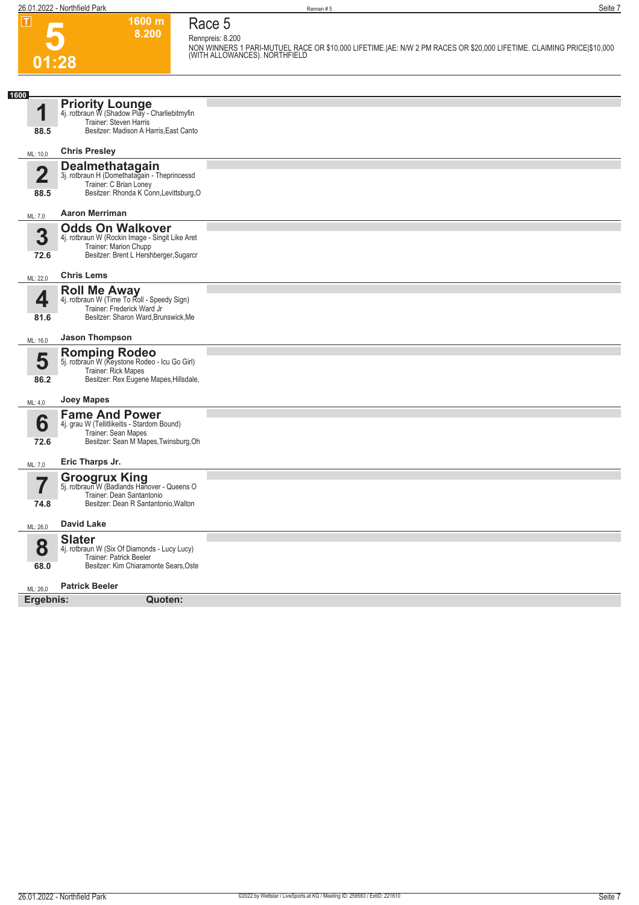**Race 5 Rennpreis: 8.200**

**1600 m 8.200** 



**NON WINNERS 1 PARI-MUTUEL RACE OR \$10,000 LIFETIME.|AE: N/W 2 PM RACES OR \$20,000 LIFETIME. CLAIMING PRICE|\$10,000 (WITH ALLOWANCES). NORTHFIELD** 

| 1600        |                                                                                                                                               |  |
|-------------|-----------------------------------------------------------------------------------------------------------------------------------------------|--|
| И           | <b>Priority Lounge</b><br>4j. rotbraun W (Shadow Play - Charliebitmyfin<br>Trainer: Steven Harris                                             |  |
| 88.5        | Besitzer: Madison A Harris, East Canto                                                                                                        |  |
| ML: 10,0    | <b>Chris Presley</b>                                                                                                                          |  |
| $\mathbf 2$ | Dealmethatagain<br>3j. rotbraun H (Domethatagain - Theprincessd<br>Trainer: C Brian Loney                                                     |  |
| 88.5        | Besitzer: Rhonda K Conn, Levittsburg, O                                                                                                       |  |
| ML: 7,0     | <b>Aaron Merriman</b>                                                                                                                         |  |
| 3<br>72.6   | <b>Odds On Walkover</b><br>4j. rotbraun W (Rockin Image - Singit Like Aret<br>Trainer: Marion Chupp<br>Besitzer: Brent L Hershberger, Sugarcr |  |
| ML: 22.0    | <b>Chris Lems</b>                                                                                                                             |  |
| 4           | <b>Roll Me Away</b><br>4j. rotbraun W (Time To Roll - Speedy Sign)<br>Trainer: Frederick Ward Jr                                              |  |
| 81.6        | Besitzer: Sharon Ward, Brunswick, Me                                                                                                          |  |
| ML: 16,0    | <b>Jason Thompson</b>                                                                                                                         |  |
| 5           | <b>Romping Rodeo</b><br>5j. rotbraun W (Keystone Rodeo - Icu Go Girl)<br>Trainer: Rick Mapes                                                  |  |
| 86.2        | Besitzer: Rex Eugene Mapes, Hillsdale,                                                                                                        |  |
| ML: 4,0     | <b>Joey Mapes</b>                                                                                                                             |  |
| 6<br>72.6   | <b>Fame And Power</b><br>4j. grau W (Tellitlikeitis - Stardom Bound)<br>Trainer: Sean Mapes<br>Besitzer: Sean M Mapes, Twinsburg, Oh          |  |
| ML: 7,0     | Eric Tharps Jr.                                                                                                                               |  |
| 7<br>74.8   | Groogrux King<br>5j. rotbraun W (Badlands Hanover - Queens O<br>Trainer: Dean Santantonio<br>Besitzer: Dean R Santantonio, Walton             |  |
|             |                                                                                                                                               |  |
| ML: 26,0    | <b>David Lake</b>                                                                                                                             |  |
| 8           | <b>Slater</b><br>4j. rotbraun W (Six Of Diamonds - Lucy Lucy)<br>Trainer: Patrick Beeler                                                      |  |
| 68.0        | Besitzer: Kim Chiaramonte Sears, Oste                                                                                                         |  |
| ML: 26,0    | <b>Patrick Beeler</b>                                                                                                                         |  |
| Ergebnis:   | Quoten:                                                                                                                                       |  |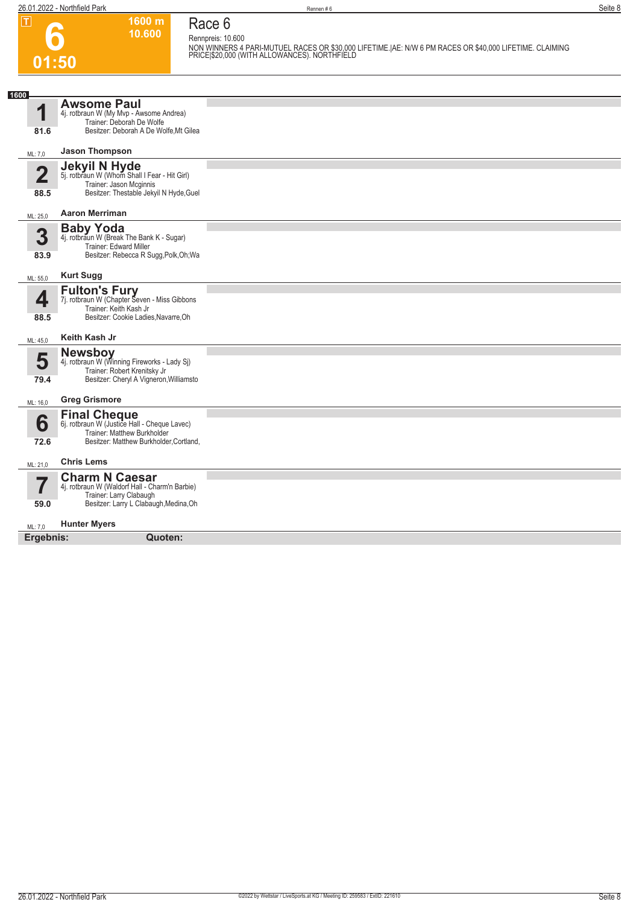**01:50**

**NON WINNERS 4 PARI-MUTUEL RACES OR \$30,000 LIFETIME.|AE: N/W 6 PM RACES OR \$40,000 LIFETIME. CLAIMING PRICE|\$20,000 (WITH ALLOWANCES). NORTHFIELD** 

#### **Race 6 Rennpreis: 10.600**

**1600 m 10.600** 

| 1600                    |                                                                           |  |
|-------------------------|---------------------------------------------------------------------------|--|
|                         | <b>Awsome Paul</b>                                                        |  |
| 1                       | 4j. rotbraun W (My Mvp - Awsome Andrea)                                   |  |
|                         | Trainer: Deborah De Wolfe                                                 |  |
| 81.6                    | Besitzer: Deborah A De Wolfe, Mt Gilea                                    |  |
|                         |                                                                           |  |
| ML: 7,0                 | <b>Jason Thompson</b>                                                     |  |
|                         | <b>Jekyil N Hyde</b>                                                      |  |
| $\overline{\mathbf{2}}$ | 5j. rotbraun W (Whom Shall I Fear - Hit Girl)                             |  |
|                         | Trainer: Jason Mcginnis                                                   |  |
| 88.5                    | Besitzer: Thestable Jekyil N Hyde, Guel                                   |  |
|                         |                                                                           |  |
| ML: 25,0                | <b>Aaron Merriman</b>                                                     |  |
|                         |                                                                           |  |
| 3                       | <b>Baby Yoda</b><br>4j. rotbraun W (Break The Bank K - Sugar)             |  |
|                         | Trainer: Edward Miller                                                    |  |
| 83.9                    | Besitzer: Rebecca R Sugg, Polk, Oh; Wa                                    |  |
|                         |                                                                           |  |
| ML: 55,0                | <b>Kurt Sugg</b>                                                          |  |
|                         | <b>Fulton's Fury</b>                                                      |  |
| 4                       | 7j. rotbraun W (Chapter Seven - Miss Gibbons                              |  |
|                         | Trainer: Keith Kash Jr                                                    |  |
| 88.5                    | Besitzer: Cookie Ladies, Navarre, Oh                                      |  |
|                         |                                                                           |  |
| ML: 45,0                | Keith Kash Jr                                                             |  |
|                         | <b>Newsboy</b>                                                            |  |
| 5                       | 4j. rotbraun W (Winning Fireworks - Lady Sj)                              |  |
|                         | Trainer: Robert Krenitsky Jr                                              |  |
| 79.4                    | Besitzer: Cheryl A Vigneron, Williamsto                                   |  |
|                         |                                                                           |  |
| ML: 16,0                | <b>Greg Grismore</b>                                                      |  |
|                         |                                                                           |  |
| 6                       | <b>Final Cheque</b><br>6j. rotbraun W (Justice Hall - Cheque Lavec)       |  |
|                         | Trainer: Matthew Burkholder                                               |  |
| 72.6                    | Besitzer: Matthew Burkholder, Cortland,                                   |  |
|                         |                                                                           |  |
| ML: 21,0                | <b>Chris Lems</b>                                                         |  |
|                         |                                                                           |  |
| $\overline{7}$          | <b>Charm N Caesar</b>                                                     |  |
|                         | 4j. rotbraun W (Waldorf Hall - Charm'n Barbie)<br>Trainer: Larry Clabaugh |  |
| 59.0                    | Besitzer: Larry L Clabaugh, Medina, Oh                                    |  |
|                         |                                                                           |  |
| ML: 7,0                 | <b>Hunter Myers</b>                                                       |  |
|                         |                                                                           |  |
| Ergebnis:               | Quoten:                                                                   |  |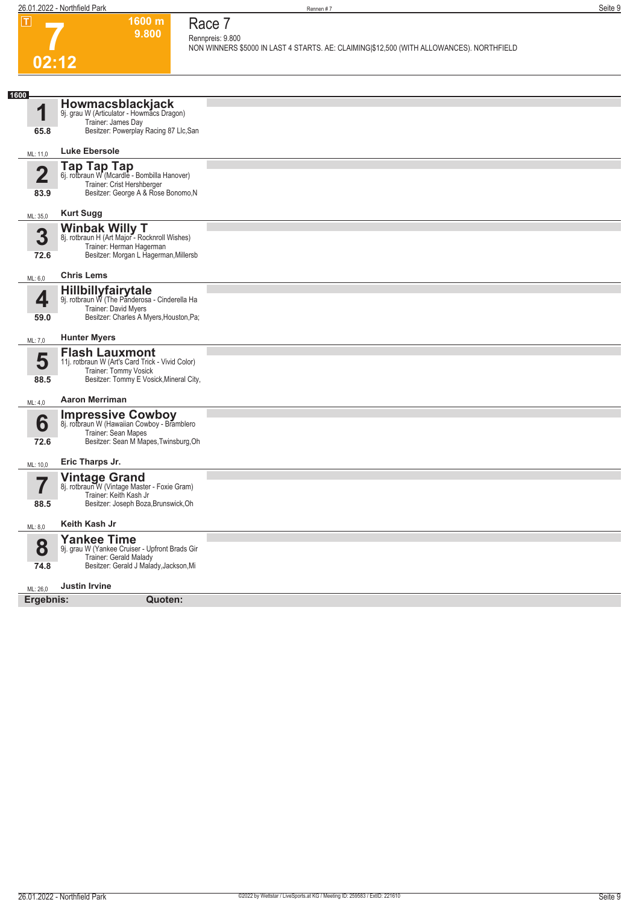**1600 m 9.800**  **Race 7 Rennpreis: 9.800**

**NON WINNERS \$5000 IN LAST 4 STARTS. AE: CLAIMING|\$12,500 (WITH ALLOWANCES). NORTHFIELD** 

## **7 02:12**

| 1600<br>1               | <b>Howmacsblackjack</b><br>9j. grau W (Articulator - Howmacs Dragon)<br>Trainer: James Day                                                    |  |
|-------------------------|-----------------------------------------------------------------------------------------------------------------------------------------------|--|
| 65.8                    | Besitzer: Powerplay Racing 87 Llc, San                                                                                                        |  |
| ML: 11,0                | Luke Ebersole                                                                                                                                 |  |
| $\overline{\mathbf{2}}$ | Tap Tap Tap<br>6j. rotbraun W (Mcardle - Bombilla Hanover)<br>Trainer: Crist Hershberger                                                      |  |
| 83.9                    | Besitzer: George A & Rose Bonomo, N                                                                                                           |  |
| ML: 35,0                | <b>Kurt Sugg</b>                                                                                                                              |  |
| 3                       | <b>Winbak Willy T</b><br>8j. rotbraun H (Art Major - Rocknroll Wishes)<br>Trainer: Herman Hagerman                                            |  |
| 72.6                    | Besitzer: Morgan L Hagerman, Millersb                                                                                                         |  |
| ML: 6,0                 | <b>Chris Lems</b>                                                                                                                             |  |
| 4                       | Hillbillyfairytale<br>9j. rotbraun W (The Panderosa - Cinderella Ha<br>Trainer: David Myers                                                   |  |
| 59.0                    | Besitzer: Charles A Myers, Houston, Pa;                                                                                                       |  |
| ML: 7,0                 | <b>Hunter Myers</b>                                                                                                                           |  |
| 5<br>88.5               | <b>Flash Lauxmont</b><br>11j. rotbraun W (Art's Card Trick - Vivid Color)<br>Trainer: Tommy Vosick<br>Besitzer: Tommy E Vosick, Mineral City, |  |
| ML: 4,0                 | <b>Aaron Merriman</b>                                                                                                                         |  |
| 6<br>72.6               | <b>Impressive Cowboy</b><br>8j. rotbraun W (Hawaiian Cowboy - Bramblero<br>Trainer: Sean Mapes<br>Besitzer: Sean M Mapes, Twinsburg, Oh       |  |
| ML: 10,0                | Eric Tharps Jr.                                                                                                                               |  |
|                         | Vintage Grand<br>8j. rotbraun W (Vintage Master - Foxie Gram)<br>Trainer: Keith Kash Jr                                                       |  |
| 88.5                    | Besitzer: Joseph Boza, Brunswick, Oh                                                                                                          |  |
| ML: 8,0                 | Keith Kash Jr                                                                                                                                 |  |
| 8                       | <b>Yankee Time</b><br>9j. grau W (Yankee Cruiser - Upfront Brads Gir<br>Trainer: Gerald Malady                                                |  |
| 74.8                    | Besitzer: Gerald J Malady, Jackson, Mi                                                                                                        |  |
| ML: 26,0                | <b>Justin Irvine</b>                                                                                                                          |  |
| Ergebnis:               | Quoten:                                                                                                                                       |  |
|                         |                                                                                                                                               |  |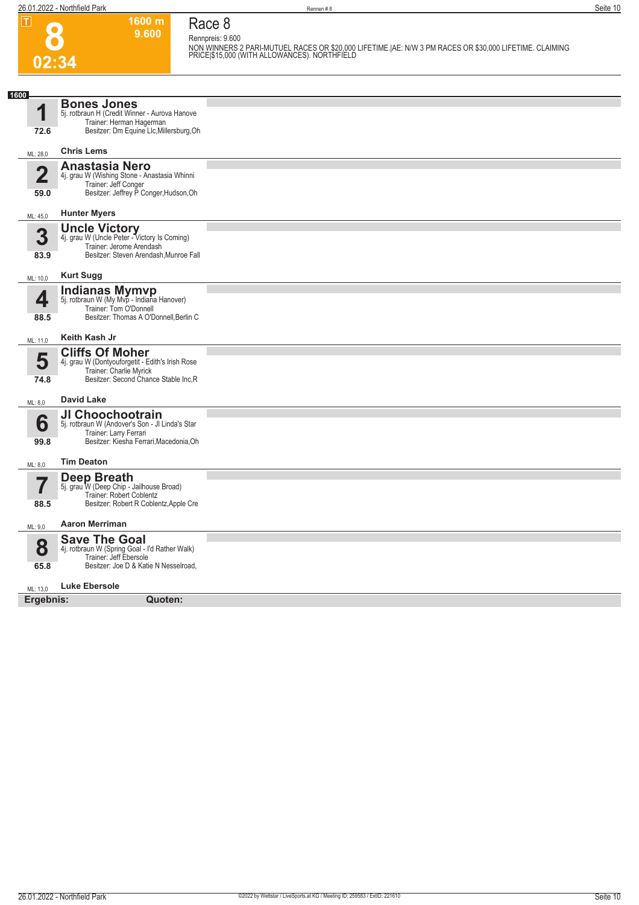**Race 8**

**Rennpreis: 9.600**

**1600 m 9.600** 

|                              |                                                                             | NON WINNERS 2 PARI-MUTUEL RACES OR \$20,000 LIFETIME. AE: N/W 3 PM RACES OR \$30,000 LIFETIME. CLAIMING<br>PRICE \$15,000 (WITH ALLOWANCES). NORTHFIELD |
|------------------------------|-----------------------------------------------------------------------------|---------------------------------------------------------------------------------------------------------------------------------------------------------|
| 02:34                        |                                                                             |                                                                                                                                                         |
|                              |                                                                             |                                                                                                                                                         |
| 1600                         | <b>Bones Jones</b>                                                          |                                                                                                                                                         |
| 1                            | 5j. rotbraun H (Credit Winner - Aurova Hanove                               |                                                                                                                                                         |
| 72.6                         | Trainer: Herman Hagerman<br>Besitzer: Dm Equine Llc, Millersburg, Oh        |                                                                                                                                                         |
|                              |                                                                             |                                                                                                                                                         |
| ML: 28,0                     | <b>Chris Lems</b>                                                           |                                                                                                                                                         |
| $\overline{\mathbf{2}}$      | <b>Anastasia Nero</b><br>4j. grau W (Wishing Stone - Anastasia Whinni       |                                                                                                                                                         |
| 59.0                         | Trainer: Jeff Conger<br>Besitzer: Jeffrey P Conger, Hudson, Oh              |                                                                                                                                                         |
|                              |                                                                             |                                                                                                                                                         |
| ML: 45,0                     | <b>Hunter Myers</b>                                                         |                                                                                                                                                         |
| 3                            | <b>Uncle Victory</b><br>4j. grau W (Uncle Peter - Victory Is Coming)        |                                                                                                                                                         |
|                              | Trainer: Jerome Arendash                                                    |                                                                                                                                                         |
| 83.9                         | Besitzer: Steven Arendash, Munroe Fall                                      |                                                                                                                                                         |
| <b>Kurt Sugg</b><br>ML: 10,0 |                                                                             |                                                                                                                                                         |
|                              | <b>Indianas Mymvp</b>                                                       |                                                                                                                                                         |
| 4                            | 5j. rotbraun W (My Mvp - Indiana Hanover)<br>Trainer: Tom O'Donnell         |                                                                                                                                                         |
| 88.5                         | Besitzer: Thomas A O'Donnell, Berlin C                                      |                                                                                                                                                         |
| ML: 11,0                     | Keith Kash Jr                                                               |                                                                                                                                                         |
|                              | <b>Cliffs Of Moher</b>                                                      |                                                                                                                                                         |
| 5                            | 4j. grau W (Dontyouforgetit - Edith's Irish Rose<br>Trainer: Charlie Myrick |                                                                                                                                                         |
| 74.8                         | Besitzer: Second Chance Stable Inc, R                                       |                                                                                                                                                         |
| <b>David Lake</b><br>ML: 8,0 |                                                                             |                                                                                                                                                         |
|                              | JI Choochootrain                                                            |                                                                                                                                                         |
| 6                            | 5j. rotbraun W (Andover's Son - Jl Linda's Star<br>Trainer: Larry Ferrari   |                                                                                                                                                         |
| 99.8                         | Besitzer: Kiesha Ferrari, Macedonia, Oh                                     |                                                                                                                                                         |
| ML: 8,0                      | <b>Tim Deaton</b>                                                           |                                                                                                                                                         |
|                              | <b>Deep Breath</b>                                                          |                                                                                                                                                         |
| 7                            | 5j. grau W (Deep Chip - Jailhouse Broad)<br>Trainer: Robert Coblentz        |                                                                                                                                                         |
| 88.5                         | Besitzer: Robert R Coblentz, Apple Cre                                      |                                                                                                                                                         |
| ML: 9,0                      | <b>Aaron Merriman</b>                                                       |                                                                                                                                                         |
|                              | <b>Save The Goal</b>                                                        |                                                                                                                                                         |
| 8                            | 4j. rotbraun W (Spring Goal - I'd Rather Walk)<br>Trainer: Jeff Ebersole    |                                                                                                                                                         |
| 65.8                         | Besitzer: Joe D & Katie N Nesselroad,                                       |                                                                                                                                                         |
| ML: 13,0                     | <b>Luke Ebersole</b>                                                        |                                                                                                                                                         |
| Ergebnis:                    | Quoten:                                                                     |                                                                                                                                                         |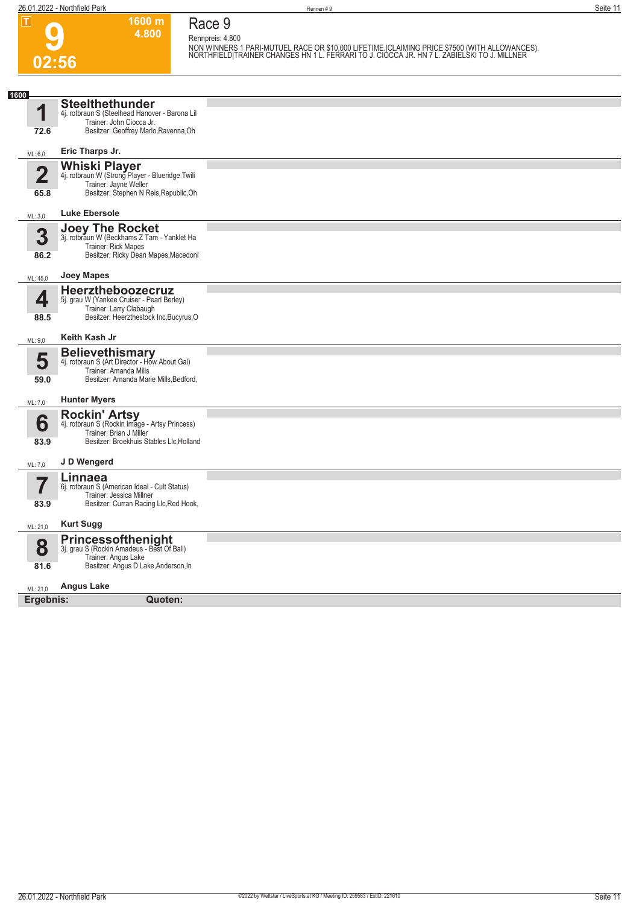**1600 m**

**Race 9**

| ட                               | ווו טטטו<br>4.800                                                                                                                             | <b>RACE 2</b><br>Rennpreis: 4.800                                                                                                                                                            |
|---------------------------------|-----------------------------------------------------------------------------------------------------------------------------------------------|----------------------------------------------------------------------------------------------------------------------------------------------------------------------------------------------|
| 02:56                           |                                                                                                                                               | NON WINNERS 1 PARI-MUTUEL RACE OR \$10,000 LIFETIME. CLAIMING PRICE \$7500 (WITH ALLOWANCES).<br>NORTHFIELD TRAINER CHANGES HN 1 L. FERRARI TO J. CIOCCA JR. HN 7 L. ZABIELSKI TO J. MILLNER |
|                                 |                                                                                                                                               |                                                                                                                                                                                              |
| 1600<br>1<br>72.6               | <b>Steelthethunder</b><br>4j. rotbraun S (Steelhead Hanover - Barona Lil<br>Trainer: John Ciocca Jr.<br>Besitzer: Geoffrey Marlo, Ravenna, Oh |                                                                                                                                                                                              |
| ML: 6,0                         | Eric Tharps Jr.                                                                                                                               |                                                                                                                                                                                              |
| $\overline{\mathbf{2}}$<br>65.8 | <b>Whiski Player</b><br>4j. rotbraun W (Strong Player - Blueridge Twili<br>Trainer: Jayne Weller<br>Besitzer: Stephen N Reis, Republic, Oh    |                                                                                                                                                                                              |
| ML: 3,0                         | <b>Luke Ebersole</b>                                                                                                                          |                                                                                                                                                                                              |
| 3<br>86.2                       | <b>Joey The Rocket</b><br>3j. rotbraun W (Beckhams Z Tam - Yanklet Ha<br>Trainer: Rick Mapes<br>Besitzer: Ricky Dean Mapes, Macedoni          |                                                                                                                                                                                              |
| ML: 45,0                        | <b>Joey Mapes</b>                                                                                                                             |                                                                                                                                                                                              |
| 4<br>88.5                       | Heerztheboozecruz<br>5j. grau W (Yankee Cruiser - Pearl Berley)<br>Trainer: Larry Clabaugh<br>Besitzer: Heerzthestock Inc, Bucyrus, O         |                                                                                                                                                                                              |
| ML: 9,0                         | Keith Kash Jr                                                                                                                                 |                                                                                                                                                                                              |
| 5<br>59.0                       | <b>Believethismary</b><br>4j. rotbraun S (Art Director - How About Gal)<br>Trainer: Amanda Mills<br>Besitzer: Amanda Marie Mills, Bedford,    |                                                                                                                                                                                              |
| ML: 7,0                         | <b>Hunter Myers</b>                                                                                                                           |                                                                                                                                                                                              |
| 6<br>83.9                       | Rockin' Artsy<br>4j. rotbraun S (Rockin Image - Artsy Princess)<br>Trainer: Brian J Miller<br>Besitzer: Broekhuis Stables Llc, Holland        |                                                                                                                                                                                              |
| ML: 7,0                         | J D Wengerd                                                                                                                                   |                                                                                                                                                                                              |
| 83.9                            | Linnaea<br>6j. rotbraun S (American Ideal - Cult Status)<br>Trainer: Jessica Millner<br>Besitzer: Curran Racing Llc, Red Hook,                |                                                                                                                                                                                              |
| ML: 21,0                        | <b>Kurt Sugg</b>                                                                                                                              |                                                                                                                                                                                              |
| 8<br>81.6                       | <b>Princessofthenight</b><br>3j. grau S (Rockin Amadeus - Best Of Ball)<br>Trainer: Angus Lake<br>Besitzer: Angus D Lake, Anderson, In        |                                                                                                                                                                                              |
| ML: 21,0                        | <b>Angus Lake</b>                                                                                                                             |                                                                                                                                                                                              |
| Ergebnis:                       | Quoten:                                                                                                                                       |                                                                                                                                                                                              |
|                                 |                                                                                                                                               |                                                                                                                                                                                              |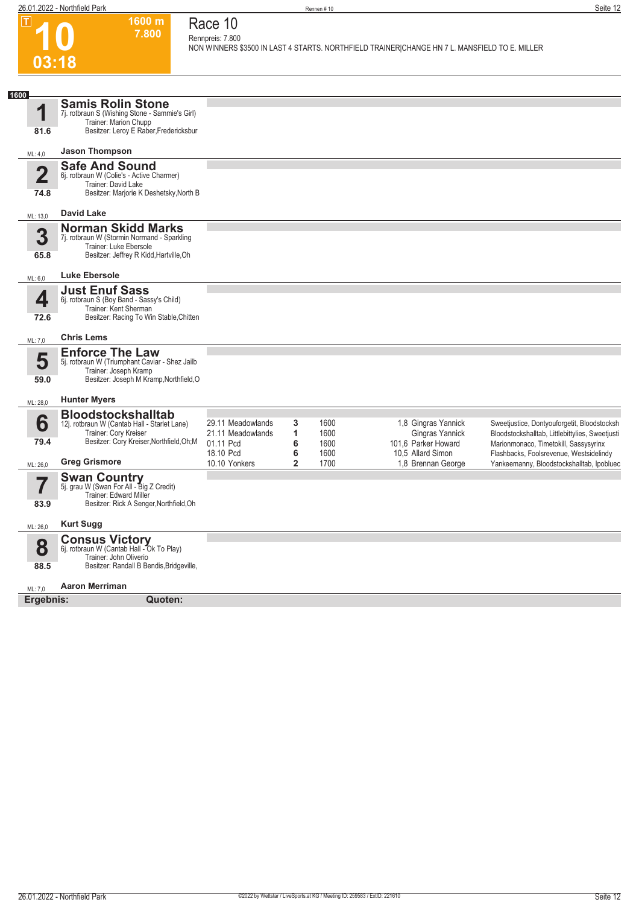| $\overline{\mathbf{r}}$ |                                 | 1600 m<br>7.800                                                                                                                               | Race 10<br>Rennpreis: 7.800    |                |              | NON WINNERS \$3500 IN LAST 4 STARTS. NORTHFIELD TRAINER CHANGE HN 7 L. MANSFIELD TO E. MILLER |                                                                                  |
|-------------------------|---------------------------------|-----------------------------------------------------------------------------------------------------------------------------------------------|--------------------------------|----------------|--------------|-----------------------------------------------------------------------------------------------|----------------------------------------------------------------------------------|
|                         | 03:18                           |                                                                                                                                               |                                |                |              |                                                                                               |                                                                                  |
|                         |                                 |                                                                                                                                               |                                |                |              |                                                                                               |                                                                                  |
| 1600                    |                                 | <b>Samis Rolin Stone</b>                                                                                                                      |                                |                |              |                                                                                               |                                                                                  |
|                         | 1<br>81.6                       | 7j. rotbraun S (Wishing Stone - Sammie's Girl)<br>Trainer: Marion Chupp<br>Besitzer: Leroy E Raber, Fredericksbur                             |                                |                |              |                                                                                               |                                                                                  |
|                         | ML: 4,0                         | <b>Jason Thompson</b>                                                                                                                         |                                |                |              |                                                                                               |                                                                                  |
|                         | $\overline{\mathbf{2}}$<br>74.8 | <b>Safe And Sound</b><br>6j. rotbraun W (Colie's - Active Charmer)<br>Trainer: David Lake<br>Besitzer: Marjorie K Deshetsky, North B          |                                |                |              |                                                                                               |                                                                                  |
|                         | ML: 13,0                        | <b>David Lake</b>                                                                                                                             |                                |                |              |                                                                                               |                                                                                  |
|                         | 3<br>65.8                       | <b>Norman Skidd Marks</b><br>7j. rotbraun W (Stormin Normand - Sparkling<br>Trainer: Luke Ebersole<br>Besitzer: Jeffrey R Kidd, Hartville, Oh |                                |                |              |                                                                                               |                                                                                  |
|                         |                                 |                                                                                                                                               |                                |                |              |                                                                                               |                                                                                  |
|                         | ML: 6,0                         | <b>Luke Ebersole</b><br><b>Just Enuf Sass</b>                                                                                                 |                                |                |              |                                                                                               |                                                                                  |
|                         | 4<br>72.6                       | 6j. rotbraun S (Boy Band - Sassy's Child)<br>Trainer: Kent Sherman<br>Besitzer: Racing To Win Stable, Chitten                                 |                                |                |              |                                                                                               |                                                                                  |
|                         | ML: 7,0                         | <b>Chris Lems</b>                                                                                                                             |                                |                |              |                                                                                               |                                                                                  |
|                         | 5                               | <b>Enforce The Law</b>                                                                                                                        |                                |                |              |                                                                                               |                                                                                  |
|                         | 59.0                            | 5j. rotbraun W (Triumphant Caviar - Shez Jailb<br>Trainer: Joseph Kramp<br>Besitzer: Joseph M Kramp, Northfield, O                            |                                |                |              |                                                                                               |                                                                                  |
|                         | ML: 28,0                        | <b>Hunter Myers</b>                                                                                                                           |                                |                |              |                                                                                               |                                                                                  |
|                         | 6                               | <b>Bloodstockshalltab</b><br>12j. rotbraun W (Cantab Hall - Starlet Lane)                                                                     | 29.11 Meadowlands              | 3              | 1600         | 1,8 Gingras Yannick                                                                           | Sweetjustice, Dontyouforgetit, Bloodstocksh                                      |
|                         | 79.4                            | Trainer: Cory Kreiser<br>Besitzer: Cory Kreiser, Northfield, Oh; M                                                                            | 21.11 Meadowlands<br>01.11 Pcd | 1<br>6         | 1600         | Gingras Yannick<br>101,6 Parker Howard                                                        | Bloodstockshalltab, Littlebittylies, Sweetjusti                                  |
|                         |                                 |                                                                                                                                               | 18.10 Pcd                      | 6              | 1600<br>1600 | 10,5 Allard Simon                                                                             | Marionmonaco, Timetokill, Sassysyrinx<br>Flashbacks, Foolsrevenue, Westsidelindy |
|                         | ML: 26,0                        | <b>Greg Grismore</b>                                                                                                                          | 10.10 Yonkers                  | $\overline{2}$ | 1700         | 1,8 Brennan George                                                                            | Yankeemanny, Bloodstockshalltab, Ipobluec                                        |
|                         |                                 | <b>Swan Country</b><br>5j. grau W (Swan For All - Big Z Credit)<br>Trainer: Edward Miller                                                     |                                |                |              |                                                                                               |                                                                                  |
|                         | 83.9                            | Besitzer: Rick A Senger, Northfield, Oh                                                                                                       |                                |                |              |                                                                                               |                                                                                  |
|                         | ML: 26,0                        | <b>Kurt Sugg</b>                                                                                                                              |                                |                |              |                                                                                               |                                                                                  |
|                         | 8                               | <b>Consus Victory</b><br>6j. rotbraun W (Cantab Hall - Ok To Play)                                                                            |                                |                |              |                                                                                               |                                                                                  |
|                         | 88.5                            | Trainer: John Oliverio<br>Besitzer: Randall B Bendis, Bridgeville,                                                                            |                                |                |              |                                                                                               |                                                                                  |
|                         | ML: 7,0                         | <b>Aaron Merriman</b>                                                                                                                         |                                |                |              |                                                                                               |                                                                                  |
|                         | Ergebnis:                       | Quoten:                                                                                                                                       |                                |                |              |                                                                                               |                                                                                  |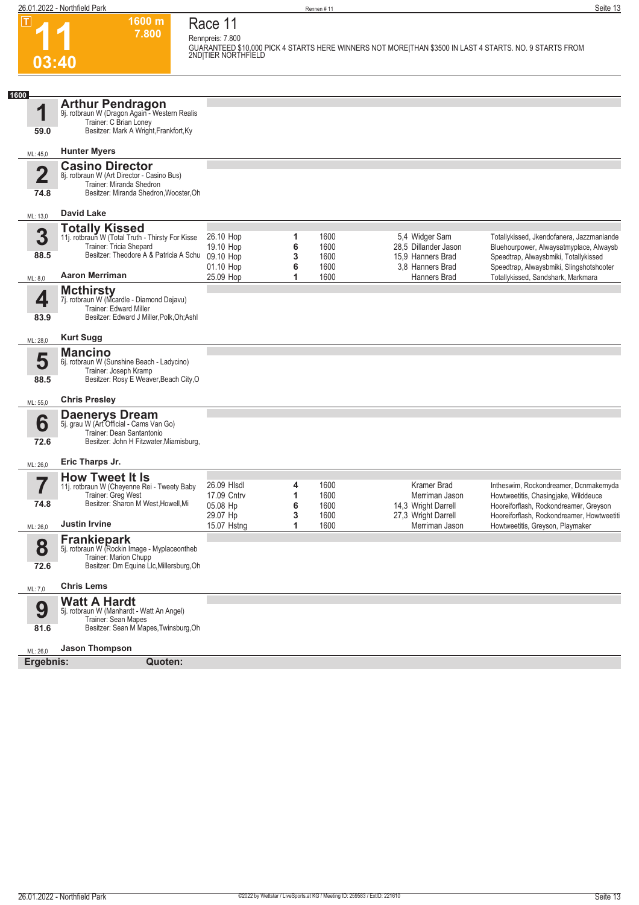$\boxed{1}$ 

**03:40**

**Race 11 Rennpreis: 7.800**

**7.800** 

**1600 m**

**GUARANTEED \$10,000 PICK 4 STARTS HERE WINNERS NOT MORE|THAN \$3500 IN LAST 4 STARTS. NO. 9 STARTS FROM 2ND|TIER NORTHFIELD** 

| 1600                    |                                                                                                                                              |                         |        |              |                                           |                                                                                  |
|-------------------------|----------------------------------------------------------------------------------------------------------------------------------------------|-------------------------|--------|--------------|-------------------------------------------|----------------------------------------------------------------------------------|
| 1<br>59.0               | <b>Arthur Pendragon</b><br>9j. rotbraun W (Dragon Again - Western Realis<br>Trainer: C Brian Loney<br>Besitzer: Mark A Wright, Frankfort, Ky |                         |        |              |                                           |                                                                                  |
|                         | <b>Hunter Myers</b>                                                                                                                          |                         |        |              |                                           |                                                                                  |
| ML: 45,0                | <b>Casino Director</b>                                                                                                                       |                         |        |              |                                           |                                                                                  |
| $\overline{\mathbf{2}}$ | 8j. rotbraun W (Art Director - Casino Bus)<br>Trainer: Miranda Shedron                                                                       |                         |        |              |                                           |                                                                                  |
| 74.8                    | Besitzer: Miranda Shedron, Wooster, Oh                                                                                                       |                         |        |              |                                           |                                                                                  |
| ML: 13,0                | David Lake                                                                                                                                   |                         |        |              |                                           |                                                                                  |
| 3                       | <b>Totally Kissed</b><br>11j. rotbraun W (Total Truth - Thirsty For Kisse                                                                    | 26.10 Hop               | 1      | 1600         | 5,4 Widger Sam                            | Totallykissed, Jkendofanera, Jazzmaniande                                        |
| 88.5                    | Trainer: Tricia Shepard<br>Besitzer: Theodore A & Patricia A Schu                                                                            | 19.10 Hop<br>09.10 Hop  | 6<br>3 | 1600<br>1600 | 28.5 Dillander Jason<br>15,9 Hanners Brad | Bluehourpower, Alwaysatmyplace, Alwaysb<br>Speedtrap, Alwaysbmiki, Totallykissed |
|                         | <b>Aaron Merriman</b>                                                                                                                        | 01.10 Hop<br>25.09 Hop  | 6<br>1 | 1600<br>1600 | 3.8 Hanners Brad<br>Hanners Brad          | Speedtrap, Alwaysbmiki, Slingshotshooter<br>Totallykissed, Sandshark, Markmara   |
| ML: 8,0                 |                                                                                                                                              |                         |        |              |                                           |                                                                                  |
| 4                       | <b>Mcthirsty</b><br>7j. rotbraun W (Mcardle - Diamond Dejavu)<br>Trainer: Edward Miller                                                      |                         |        |              |                                           |                                                                                  |
| 83.9                    | Besitzer: Edward J Miller, Polk, Oh; Ashl                                                                                                    |                         |        |              |                                           |                                                                                  |
| ML: 28,0                | <b>Kurt Sugg</b>                                                                                                                             |                         |        |              |                                           |                                                                                  |
| 5                       | <b>Mancino</b><br>6j. rotbraun W (Sunshine Beach - Ladycino)                                                                                 |                         |        |              |                                           |                                                                                  |
| 88.5                    | Trainer: Joseph Kramp<br>Besitzer: Rosy E Weaver, Beach City, O                                                                              |                         |        |              |                                           |                                                                                  |
| ML: 55,0                | <b>Chris Presley</b>                                                                                                                         |                         |        |              |                                           |                                                                                  |
|                         | <b>Daenerys Dream</b><br>5j. grau W (Art Official - Cams Van Go)                                                                             |                         |        |              |                                           |                                                                                  |
| 6                       | Trainer: Dean Santantonio                                                                                                                    |                         |        |              |                                           |                                                                                  |
| 72.6                    | Besitzer: John H Fitzwater, Miamisburg,                                                                                                      |                         |        |              |                                           |                                                                                  |
| ML: 26,0                | Eric Tharps Jr.                                                                                                                              |                         |        |              |                                           |                                                                                  |
| 7                       | <b>How Tweet It Is</b><br>11j. rotbraun W (Cheyenne Rei - Tweety Baby                                                                        | 26.09 HIsdl             | 4      | 1600         | <b>Kramer Brad</b>                        | Intheswim, Rockondreamer, Dcnmakemyda                                            |
| 74.8                    | Trainer: Greg West<br>Besitzer: Sharon M West, Howell, Mi                                                                                    | 17.09 Cntrv<br>05.08 Hp | 1<br>6 | 1600<br>1600 | Merriman Jason<br>14,3 Wright Darrell     | Howtweetitis, Chasingjake, Wilddeuce<br>Hooreiforflash, Rockondreamer, Greyson   |
| ML: 26,0                | <b>Justin Irvine</b>                                                                                                                         | 29.07 Hp<br>15.07 Hstng | 3<br>1 | 1600<br>1600 | 27,3 Wright Darrell<br>Merriman Jason     | Hooreiforflash, Rockondreamer, Howtweetiti<br>Howtweetitis, Greyson, Playmaker   |
|                         | <b>Frankiepark</b>                                                                                                                           |                         |        |              |                                           |                                                                                  |
| 8                       | 5j. rotbraun W (Rockin Image - Myplaceontheb<br>Trainer: Marion Chupp                                                                        |                         |        |              |                                           |                                                                                  |
| 72.6                    | Besitzer: Dm Equine Llc, Millersburg, Oh                                                                                                     |                         |        |              |                                           |                                                                                  |
| ML: 7,0                 | <b>Chris Lems</b>                                                                                                                            |                         |        |              |                                           |                                                                                  |
|                         | <b>Watt A Hardt</b>                                                                                                                          |                         |        |              |                                           |                                                                                  |
| 9<br>81.6               | 5j. rotbraun W (Manhardt - Watt An Angel)<br>Trainer: Sean Mapes<br>Besitzer: Sean M Mapes, Twinsburg, Oh                                    |                         |        |              |                                           |                                                                                  |
| ML: 26,0                | <b>Jason Thompson</b>                                                                                                                        |                         |        |              |                                           |                                                                                  |
| Ergebnis:               | Quoten:                                                                                                                                      |                         |        |              |                                           |                                                                                  |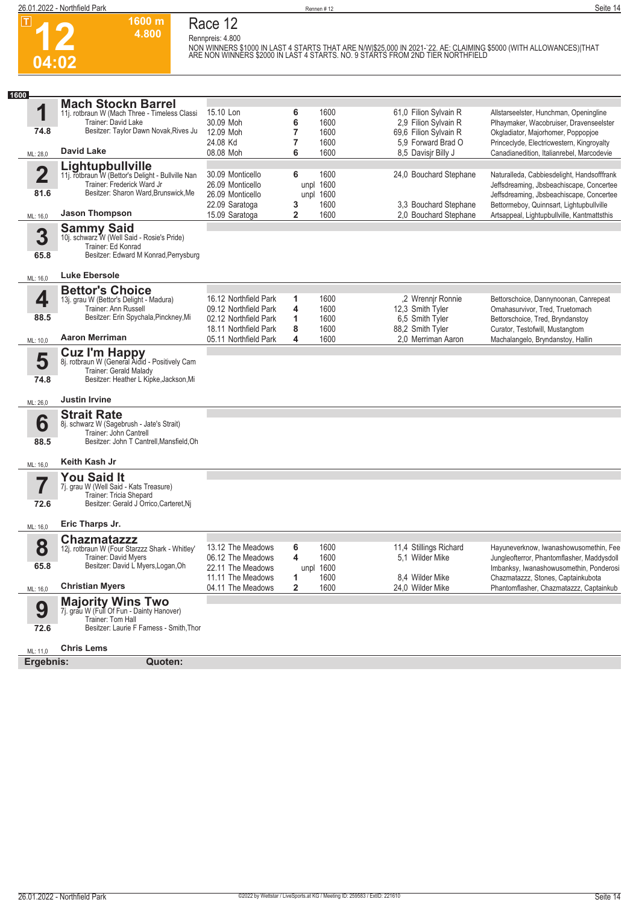

 $\boxed{1}$ 

### **Race 12 Rennpreis: 4.800**

**1600 m 4.800** 

**NON WINNERS \$1000 IN LAST 4 STARTS THAT ARE N/W|\$25,000 IN 2021-`22. AE: CLAIMING \$5000 (WITH ALLOWANCES)|THAT ARE NON WINNERS \$2000 IN LAST 4 STARTS. NO. 9 STARTS FROM 2ND TIER NORTHFIELD** 

| 1600                            |                                                                                                                                                             |                                                                                                                           |                        |                                      |                                                                                                    |                                                                                                                                                                                |
|---------------------------------|-------------------------------------------------------------------------------------------------------------------------------------------------------------|---------------------------------------------------------------------------------------------------------------------------|------------------------|--------------------------------------|----------------------------------------------------------------------------------------------------|--------------------------------------------------------------------------------------------------------------------------------------------------------------------------------|
| 1<br>74.8                       | <b>Mach Stockn Barrel</b><br>11j. rotbraun W (Mach Three - Timeless Classi<br>Trainer: David Lake<br>Besitzer: Taylor Dawn Novak, Rives Ju                  | 15.10 Lon<br>30.09 Moh<br>12.09 Moh<br>24.08 Kd                                                                           | 6<br>6<br>7<br>7       | 1600<br>1600<br>1600<br>1600         | 61,0 Filion Sylvain R<br>2,9 Filion Sylvain R<br>69,6 Filion Sylvain R<br>5,9 Forward Brad O       | Allstarseelster, Hunchman, Openingline<br>Plhaymaker, Wacobruiser, Dravenseelster<br>Okgladiator, Majorhomer, Poppopjoe<br>Princeclyde, Electricwestern, Kingroyalty           |
| ML: 28,0                        | David Lake                                                                                                                                                  | 08.08 Moh                                                                                                                 | 6                      | 1600                                 | 8.5 Davisir Billy J                                                                                | Canadianedition. Italianrebel. Marcodevie                                                                                                                                      |
| $\overline{\mathbf{2}}$<br>81.6 | Lightupbullville<br>11j. rotbraun W (Bettor's Delight - Bullville Nan<br>Trainer: Frederick Ward Jr<br>Besitzer: Sharon Ward, Brunswick, Me                 | 30.09 Monticello<br>26.09 Monticello<br>26.09 Monticello<br>22.09 Saratoga                                                | 6<br>unpl<br>unpl<br>3 | 1600<br>1600<br>1600<br>1600         | 24,0 Bouchard Stephane<br>3,3 Bouchard Stephane                                                    | Naturalleda, Cabbiesdelight, Handsofffrank<br>Jeffsdreaming, Jbsbeachiscape, Concertee<br>Jeffsdreaming, Jbsbeachiscape, Concertee<br>Bettormeboy, Quinnsart, Lightupbullville |
| ML: 16,0                        | <b>Jason Thompson</b>                                                                                                                                       | 15.09 Saratoga                                                                                                            | 2                      | 1600                                 | 2.0 Bouchard Stephane                                                                              | Artsappeal, Lightupbullville, Kantmattsthis                                                                                                                                    |
| 3<br>65.8                       | <b>Sammy Said</b><br>10j. schwarz W (Well Said - Rosie's Pride)<br>Trainer: Ed Konrad<br>Besitzer: Edward M Konrad, Perrysburg                              |                                                                                                                           |                        |                                      |                                                                                                    |                                                                                                                                                                                |
| ML: 16,0                        | Luke Ebersole                                                                                                                                               |                                                                                                                           |                        |                                      |                                                                                                    |                                                                                                                                                                                |
| 4<br>88.5                       | <b>Bettor's Choice</b><br>13j. grau W (Bettor's Delight - Madura)<br>Trainer: Ann Russell<br>Besitzer: Erin Spychala, Pinckney, Mi<br><b>Aaron Merriman</b> | 16.12 Northfield Park<br>09.12 Northfield Park<br>02.12 Northfield Park<br>18.11 Northfield Park<br>05.11 Northfield Park | 1<br>4<br>1<br>8<br>4  | 1600<br>1600<br>1600<br>1600<br>1600 | ,2 Wrennir Ronnie<br>12,3 Smith Tyler<br>6,5 Smith Tyler<br>88,2 Smith Tyler<br>2.0 Merriman Aaron | Bettorschoice, Dannynoonan, Canrepeat<br>Omahasurvivor, Tred, Truetomach<br>Bettorschoice, Tred, Bryndanstoy<br>Curator, Testofwill, Mustangtom                                |
| ML: 10,0                        |                                                                                                                                                             |                                                                                                                           |                        |                                      |                                                                                                    | Machalangelo, Bryndanstoy, Hallin                                                                                                                                              |
| 5<br>74.8<br>ML: 26,0           | <b>Cuz I'm Happy</b><br>8j. rotbraun W (General Aidid - Positively Cam<br>Trainer: Gerald Malady<br>Besitzer: Heather L Kipke, Jackson, Mi<br>Justin Irvine |                                                                                                                           |                        |                                      |                                                                                                    |                                                                                                                                                                                |
| 6<br>88.5                       | <b>Strait Rate</b><br>8j. schwarz W (Sagebrush - Jate's Strait)<br>Trainer: John Cantrell<br>Besitzer: John T Cantrell, Mansfield, Oh                       |                                                                                                                           |                        |                                      |                                                                                                    |                                                                                                                                                                                |
| ML: 16,0                        | Keith Kash Jr                                                                                                                                               |                                                                                                                           |                        |                                      |                                                                                                    |                                                                                                                                                                                |
| 72.6                            | <b>You Said It</b><br>7j. grau W (Well Said - Kats Treasure)<br>Trainer: Tricia Shepard<br>Besitzer: Gerald J Orrico, Carteret, Nj                          |                                                                                                                           |                        |                                      |                                                                                                    |                                                                                                                                                                                |
| ML: 16,0                        | Eric Tharps Jr.                                                                                                                                             |                                                                                                                           |                        |                                      |                                                                                                    |                                                                                                                                                                                |
| 8<br>65.8                       | <b>Chazmatazzz</b><br>12j. rotbraun W (Four Starzzz Shark - Whitley'<br><b>Trainer: David Mvers</b><br>Besitzer: David L Myers, Logan, Oh                   | 13.12 The Meadows<br>06.12 The Meadows<br>22.11 The Meadows<br>11.11 The Meadows                                          | 6<br>4<br>1            | 1600<br>1600<br>unpl 1600<br>1600    | 11,4 Stillings Richard<br>5.1 Wilder Mike<br>8.4 Wilder Mike                                       | Hayuneverknow, Iwanashowusomethin, Fee<br>Jungleofterror, Phantomflasher, Maddysdoll<br>Imbanksy, Iwanashowusomethin, Ponderosi<br>Chazmatazzz, Stones, Captainkubota          |
| ML: 16,0                        | <b>Christian Myers</b>                                                                                                                                      | 04.11 The Meadows                                                                                                         | $\mathbf{2}$           | 1600                                 | 24,0 Wilder Mike                                                                                   | Phantomflasher, Chazmatazzz, Captainkub                                                                                                                                        |
| 9<br>72.6                       | <b>Majority Wins Two</b><br>7j. grau W (Full Of Fun - Dainty Hanover)<br>Trainer: Tom Hall<br>Besitzer: Laurie F Farness - Smith, Thor                      |                                                                                                                           |                        |                                      |                                                                                                    |                                                                                                                                                                                |
| ML: 11,0                        | <b>Chris Lems</b>                                                                                                                                           |                                                                                                                           |                        |                                      |                                                                                                    |                                                                                                                                                                                |
| Ergebnis:                       | Quoten:                                                                                                                                                     |                                                                                                                           |                        |                                      |                                                                                                    |                                                                                                                                                                                |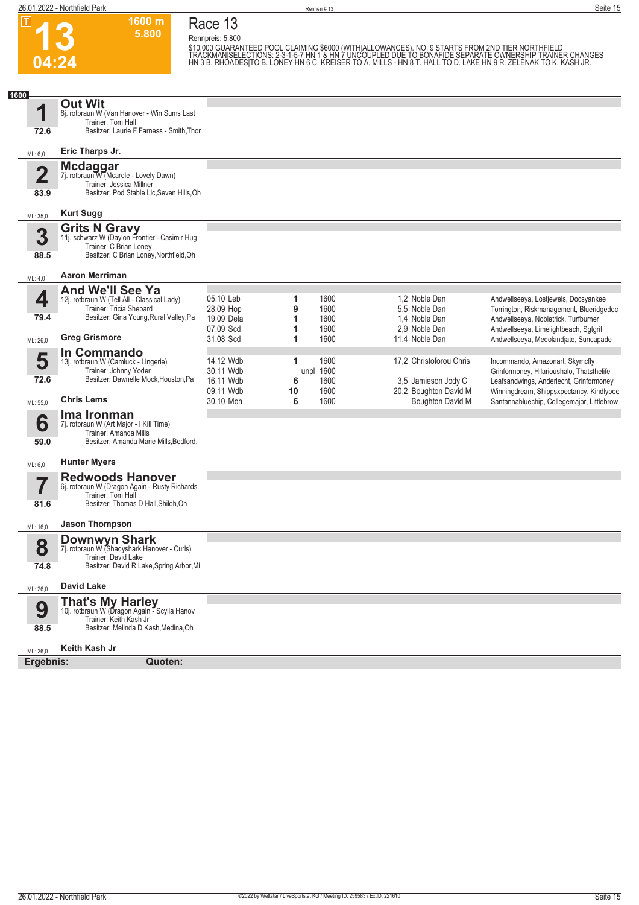

 $\boxed{1}$ 

#### **1600 m Race 13**

**5.800** 

**Rennpreis: 5.800**

\$10,000 GUARANTEED POOL CLAIMING \$6000 (WITHIALLOWANCES). NO. 9 STARTS FROM 2ND TIER NORTHFIELD<br>TRACKMANISELECTIONS: 2-3-1-5-7 HN 1 & HN 7 UNCOUPLED DUE TO BONAFIDE SEPARATE OWNERSHIP TRAINER CHANGES<br>HN 3 B. RHOADES|TO B.

| 1600                    |                                                                                                 |                         |                         |                                              |                                                                                     |
|-------------------------|-------------------------------------------------------------------------------------------------|-------------------------|-------------------------|----------------------------------------------|-------------------------------------------------------------------------------------|
| 1                       | <b>Out Wit</b><br>8j. rotbraun W (Van Hanover - Win Sums Last                                   |                         |                         |                                              |                                                                                     |
| 72.6                    | Trainer: Tom Hall<br>Besitzer: Laurie F Farness - Smith, Thor                                   |                         |                         |                                              |                                                                                     |
| ML: 6,0                 | Eric Tharps Jr.                                                                                 |                         |                         |                                              |                                                                                     |
|                         | Mcdaggar<br>7j. rotbraun W (Mcardle - Lovely Dawn)                                              |                         |                         |                                              |                                                                                     |
| $\overline{\mathbf{2}}$ | Trainer: Jessica Millner                                                                        |                         |                         |                                              |                                                                                     |
| 83.9                    | Besitzer: Pod Stable Llc, Seven Hills, Oh                                                       |                         |                         |                                              |                                                                                     |
| ML: 35,0                | <b>Kurt Sugg</b>                                                                                |                         |                         |                                              |                                                                                     |
| 3                       | <b>Grits N Gravy</b><br>11j. schwarz W (Daylon Frontier - Casimir Hug<br>Trainer: C Brian Loney |                         |                         |                                              |                                                                                     |
| 88.5                    | Besitzer: C Brian Loney, Northfield, Oh                                                         |                         |                         |                                              |                                                                                     |
| ML: 4,0                 | <b>Aaron Merriman</b>                                                                           |                         |                         |                                              |                                                                                     |
| 4                       | <b>And We'll See Ya</b><br>12j. rotbraun W (Tell All - Classical Lady)                          | 05.10 Leb               | 1<br>1600               | 1,2 Noble Dan                                | Andwellseeya, Lostjewels, Docsyankee                                                |
|                         | Trainer: Tricia Shepard<br>Besitzer: Gina Young, Rural Valley, Pa                               | 28.09 Hop               | 9<br>1600               | 5,5 Noble Dan                                | Torrington, Riskmanagement, Blueridgedoc                                            |
| 79.4                    |                                                                                                 | 19.09 Dela<br>07.09 Scd | 1<br>1600<br>1600<br>1  | 1.4 Noble Dan<br>2,9 Noble Dan               | Andwellseeya, Nobletrick, Turfburner<br>Andwellseeya, Limelightbeach, Sgtgrit       |
| ML: 26,0                | <b>Greg Grismore</b>                                                                            | 31.08 Scd               | 1<br>1600               | 11.4 Noble Dan                               | Andwellseeya, Medolandjate, Suncapade                                               |
| 5                       | In Commando<br>13j. rotbraun W (Camluck - Lingerie)                                             | 14.12 Wdb               | 1600<br>1               | 17,2 Christoforou Chris                      | Incommando, Amazonart, Skymcfly                                                     |
| 72.6                    | Trainer: Johnny Yoder<br>Besitzer: Dawnelle Mock, Houston, Pa                                   | 30.11 Wdb               | unpl 1600               |                                              | Grinformoney, Hilarioushalo, Thatsthelife                                           |
|                         |                                                                                                 | 16.11 Wdb<br>09.11 Wdb  | 1600<br>6<br>1600<br>10 | 3,5 Jamieson Jody C<br>20,2 Boughton David M | Leafsandwings, Anderlecht, Grinformoney<br>Winningdream, Shippsxpectancy, Kindlypoe |
| ML: 55,0                | <b>Chris Lems</b>                                                                               | 30.10 Moh               | 1600<br>6               | Boughton David M                             | Santannabluechip, Collegemajor, Littlebrow                                          |
| 6                       | Ima Ironman<br>7j. rotbraun W (Art Major - I Kill Time)                                         |                         |                         |                                              |                                                                                     |
| 59.0                    | Trainer: Amanda Mills<br>Besitzer: Amanda Marie Mills, Bedford,                                 |                         |                         |                                              |                                                                                     |
| ML: 6,0                 | <b>Hunter Myers</b>                                                                             |                         |                         |                                              |                                                                                     |
| 7                       | <b>Redwoods Hanover</b><br>6j. rotbraun W (Dragon Again - Rusty Richards                        |                         |                         |                                              |                                                                                     |
|                         | Trainer: Tom Hall<br>Besitzer: Thomas D Hall, Shiloh, Oh                                        |                         |                         |                                              |                                                                                     |
| 81.6                    |                                                                                                 |                         |                         |                                              |                                                                                     |
| ML: 16,0                | <b>Jason Thompson</b>                                                                           |                         |                         |                                              |                                                                                     |
| 8                       | Downwyn Shark<br>7j. rotbraun W (Shadyshark Hanover - Curls)                                    |                         |                         |                                              |                                                                                     |
| 74.8                    | Trainer: David Lake<br>Besitzer: David R Lake, Spring Arbor, Mi                                 |                         |                         |                                              |                                                                                     |
| ML: 26,0                | <b>David Lake</b>                                                                               |                         |                         |                                              |                                                                                     |
|                         | <b>That's My Harley</b><br>10j. rotbraun W (Dragon Again - Scylla Hanov                         |                         |                         |                                              |                                                                                     |
| 9                       | Trainer: Keith Kash Jr                                                                          |                         |                         |                                              |                                                                                     |
| 88.5                    | Besitzer: Melinda D Kash, Medina, Oh                                                            |                         |                         |                                              |                                                                                     |
| ML: 26,0                | Keith Kash Jr                                                                                   |                         |                         |                                              |                                                                                     |
| Ergebnis:               | Quoten:                                                                                         |                         |                         |                                              |                                                                                     |



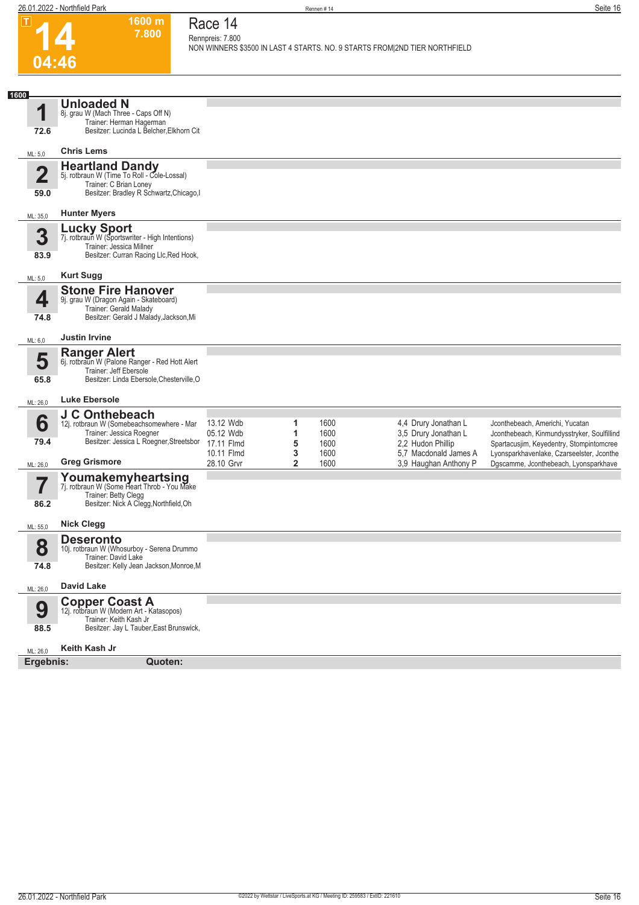$|\mathbf{T}|$ 

**1600 m 7.800**  **Race 14**

| ட                               | ווו טטטו<br>7.800                                                                                                                            | Race 14<br>Rennpreis: 7.800                        |                         |                              |                                                                                            |                                                                                                                                                                         |
|---------------------------------|----------------------------------------------------------------------------------------------------------------------------------------------|----------------------------------------------------|-------------------------|------------------------------|--------------------------------------------------------------------------------------------|-------------------------------------------------------------------------------------------------------------------------------------------------------------------------|
| 04:46                           |                                                                                                                                              |                                                    |                         |                              | NON WINNERS \$3500 IN LAST 4 STARTS. NO. 9 STARTS FROM 2ND TIER NORTHFIELD                 |                                                                                                                                                                         |
|                                 |                                                                                                                                              |                                                    |                         |                              |                                                                                            |                                                                                                                                                                         |
| 1600                            | <b>Unloaded N</b>                                                                                                                            |                                                    |                         |                              |                                                                                            |                                                                                                                                                                         |
| 1<br>72.6                       | 8j. grau W (Mach Three - Caps Off N)<br>Trainer: Herman Hagerman<br>Besitzer: Lucinda L Belcher, Elkhorn Cit                                 |                                                    |                         |                              |                                                                                            |                                                                                                                                                                         |
| ML: 5,0                         | <b>Chris Lems</b>                                                                                                                            |                                                    |                         |                              |                                                                                            |                                                                                                                                                                         |
| $\overline{\mathbf{2}}$<br>59.0 | <b>Heartland Dandy</b><br>5j. rotbraun W (Time To Roll - Cole-Lossal)<br>Trainer: C Brian Loney<br>Besitzer: Bradley R Schwartz, Chicago, I  |                                                    |                         |                              |                                                                                            |                                                                                                                                                                         |
| ML: 35,0                        | <b>Hunter Myers</b>                                                                                                                          |                                                    |                         |                              |                                                                                            |                                                                                                                                                                         |
| 3<br>83.9                       | Lucky Sport<br>7j. rotbraun W (Sportswriter - High Intentions)<br>Trainer: Jessica Millner<br>Besitzer: Curran Racing Llc, Red Hook,         |                                                    |                         |                              |                                                                                            |                                                                                                                                                                         |
| ML: 5,0                         | <b>Kurt Sugg</b>                                                                                                                             |                                                    |                         |                              |                                                                                            |                                                                                                                                                                         |
| 4<br>74.8                       | <b>Stone Fire Hanover</b><br>9j. grau W (Dragon Again - Skateboard)<br>Trainer: Gerald Malady<br>Besitzer: Gerald J Malady, Jackson, Mi      |                                                    |                         |                              |                                                                                            |                                                                                                                                                                         |
| ML: 6,0                         | <b>Justin Irvine</b>                                                                                                                         |                                                    |                         |                              |                                                                                            |                                                                                                                                                                         |
| 5<br>65.8                       | <b>Ranger Alert</b><br>6j. rotbraun W (Palone Ranger - Red Hott Alert<br>Trainer: Jeff Ebersole<br>Besitzer: Linda Ebersole, Chesterville, O |                                                    |                         |                              |                                                                                            |                                                                                                                                                                         |
| ML: 26,0                        | <b>Luke Ebersole</b>                                                                                                                         |                                                    |                         |                              |                                                                                            |                                                                                                                                                                         |
| 6<br>79.4                       | J C Onthebeach<br>12j. rotbraun W (Somebeachsomewhere - Mar<br>Trainer: Jessica Roegner<br>Besitzer: Jessica L Roegner, Streetsbor           | 13.12 Wdb<br>05.12 Wdb<br>17.11 Flmd<br>10.11 Flmd | 1<br>1<br>5<br>3        | 1600<br>1600<br>1600<br>1600 | 4,4 Drury Jonathan L<br>3,5 Drury Jonathan L<br>2,2 Hudon Phillip<br>5.7 Macdonald James A | Jconthebeach, Americhi, Yucatan<br>Jconthebeach, Kinmundysstryker, Soulfillind<br>Spartacusjim, Keyedentry, Stompintomcree<br>Lyonsparkhavenlake, Czarseelster, Jconthe |
| ML: 26,0                        | <b>Greg Grismore</b><br>Youmakemyheartsing<br>7j. rotbraun W (Some Heart Throb - You Make<br>Trainer: Betty Clegg                            | 28.10 Grvr                                         | $\overline{\mathbf{2}}$ | 1600                         | 3.9 Haughan Anthony P                                                                      | Dgscamme, Jconthebeach, Lyonsparkhave                                                                                                                                   |
| 86.2                            | Besitzer: Nick A Clegg, Northfield, Oh                                                                                                       |                                                    |                         |                              |                                                                                            |                                                                                                                                                                         |
| ML: 55,0                        | <b>Nick Clegg</b>                                                                                                                            |                                                    |                         |                              |                                                                                            |                                                                                                                                                                         |
| 8<br>74.8                       | <b>Deseronto</b><br>10j. rotbraun W (Whosurboy - Serena Drummo<br>Trainer: David Lake<br>Besitzer: Kelly Jean Jackson, Monroe, M             |                                                    |                         |                              |                                                                                            |                                                                                                                                                                         |
| ML: 26,0                        | <b>David Lake</b>                                                                                                                            |                                                    |                         |                              |                                                                                            |                                                                                                                                                                         |
| 9<br>88.5                       | <b>Copper Coast A</b><br>12j. rotbraun W (Modern Art - Katasopos)<br>Trainer: Keith Kash Jr<br>Besitzer: Jay L Tauber, East Brunswick,       |                                                    |                         |                              |                                                                                            |                                                                                                                                                                         |
| ML: 26,0                        | Keith Kash Jr                                                                                                                                |                                                    |                         |                              |                                                                                            |                                                                                                                                                                         |
| Ergebnis:                       | Quoten:                                                                                                                                      |                                                    |                         |                              |                                                                                            |                                                                                                                                                                         |